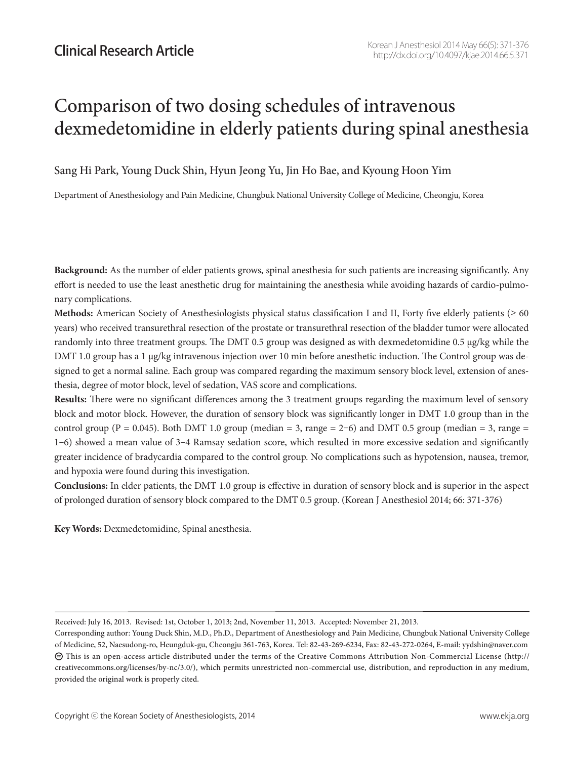# Comparison of two dosing schedules of intravenous dexmedetomidine in elderly patients during spinal anesthesia

Sang Hi Park, Young Duck Shin, Hyun Jeong Yu, Jin Ho Bae, and Kyoung Hoon Yim

Department of Anesthesiology and Pain Medicine, Chungbuk National University College of Medicine, Cheongju, Korea

**Background:** As the number of elder patients grows, spinal anesthesia for such patients are increasing significantly. Any effort is needed to use the least anesthetic drug for maintaining the anesthesia while avoiding hazards of cardio-pulmonary complications.

**Methods:** American Society of Anesthesiologists physical status classification I and II, Forty five elderly patients ( $\geq 60$ ) years) who received transurethral resection of the prostate or transurethral resection of the bladder tumor were allocated randomly into three treatment groups. The DMT 0.5 group was designed as with dexmedetomidine 0.5 μg/kg while the DMT 1.0 group has a 1 μg/kg intravenous injection over 10 min before anesthetic induction. The Control group was designed to get a normal saline. Each group was compared regarding the maximum sensory block level, extension of anesthesia, degree of motor block, level of sedation, VAS score and complications.

**Results:** There were no significant differences among the 3 treatment groups regarding the maximum level of sensory block and motor block. However, the duration of sensory block was significantly longer in DMT 1.0 group than in the control group (P = 0.045). Both DMT 1.0 group (median = 3, range = 2-6) and DMT 0.5 group (median = 3, range = 1-6) showed a mean value of 3-4 Ramsay sedation score, which resulted in more excessive sedation and significantly greater incidence of bradycardia compared to the control group. No complications such as hypotension, nausea, tremor, and hypoxia were found during this investigation.

**Conclusions:** In elder patients, the DMT 1.0 group is effective in duration of sensory block and is superior in the aspect of prolonged duration of sensory block compared to the DMT 0.5 group. (Korean J Anesthesiol 2014; 66: 371-376)

**Key Words:** Dexmedetomidine, Spinal anesthesia.

Received: July 16, 2013. Revised: 1st, October 1, 2013; 2nd, November 11, 2013. Accepted: November 21, 2013.

Corresponding author: Young Duck Shin, M.D., Ph.D., Department of Anesthesiology and Pain Medicine, Chungbuk National University College of Medicine, 52, Naesudong-ro, Heungduk-gu, Cheongju 361-763, Korea. Tel: 82-43-269-6234, Fax: 82-43-272-0264, E-mail: yydshin@naver.com  $\bm{\odot}$  This is an open-access article distributed under the terms of the Creative Commons Attribution Non-Commercial License (http:// creativecommons.org/licenses/by-nc/3.0/), which permits unrestricted non-commercial use, distribution, and reproduction in any medium, provided the original work is properly cited.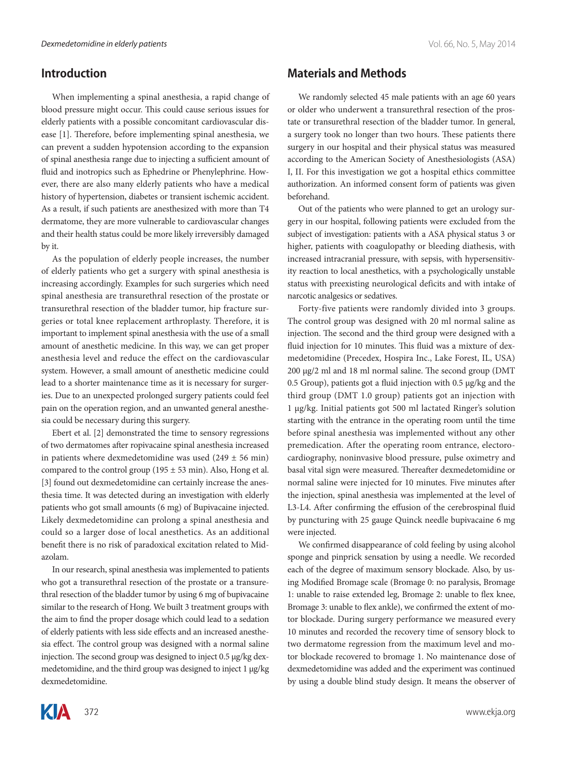### **Introduction**

When implementing a spinal anesthesia, a rapid change of blood pressure might occur. This could cause serious issues for elderly patients with a possible concomitant cardiovascular disease [1]. Therefore, before implementing spinal anesthesia, we can prevent a sudden hypotension according to the expansion of spinal anesthesia range due to injecting a sufficient amount of fluid and inotropics such as Ephedrine or Phenylephrine. However, there are also many elderly patients who have a medical history of hypertension, diabetes or transient ischemic accident. As a result, if such patients are anesthesized with more than T4 dermatome, they are more vulnerable to cardiovascular changes and their health status could be more likely irreversibly damaged by it.

As the population of elderly people increases, the number of elderly patients who get a surgery with spinal anesthesia is increasing accordingly. Examples for such surgeries which need spinal anesthesia are transurethral resection of the prostate or transurethral resection of the bladder tumor, hip fracture surgeries or total knee replacement arthroplasty. Therefore, it is important to implement spinal anesthesia with the use of a small amount of anesthetic medicine. In this way, we can get proper anesthesia level and reduce the effect on the cardiovascular system. However, a small amount of anesthetic medicine could lead to a shorter maintenance time as it is necessary for surgeries. Due to an unexpected prolonged surgery patients could feel pain on the operation region, and an unwanted general anesthesia could be necessary during this surgery.

Ebert et al. [2] demonstrated the time to sensory regressions of two dermatomes after ropivacaine spinal anesthesia increased in patients where dexmedetomidine was used  $(249 \pm 56 \text{ min})$ compared to the control group (195  $\pm$  53 min). Also, Hong et al. [3] found out dexmedetomidine can certainly increase the anesthesia time. It was detected during an investigation with elderly patients who got small amounts (6 mg) of Bupivacaine injected. Likely dexmedetomidine can prolong a spinal anesthesia and could so a larger dose of local anesthetics. As an additional benefit there is no risk of paradoxical excitation related to Midazolam.

In our research, spinal anesthesia was implemented to patients who got a transurethral resection of the prostate or a transurethral resection of the bladder tumor by using 6 mg of bupivacaine similar to the research of Hong. We built 3 treatment groups with the aim to find the proper dosage which could lead to a sedation of elderly patients with less side effects and an increased anesthesia effect. The control group was designed with a normal saline injection. The second group was designed to inject 0.5 μg/kg dexmedetomidine, and the third group was designed to inject 1 μg/kg dexmedetomidine.

# **Materials and Methods**

We randomly selected 45 male patients with an age 60 years or older who underwent a transurethral resection of the prostate or transurethral resection of the bladder tumor. In general, a surgery took no longer than two hours. These patients there surgery in our hospital and their physical status was measured according to the American Society of Anesthesiologists (ASA) I, II. For this investigation we got a hospital ethics committee authorization. An informed consent form of patients was given beforehand.

Out of the patients who were planned to get an urology surgery in our hospital, following patients were excluded from the subject of investigation: patients with a ASA physical status 3 or higher, patients with coagulopathy or bleeding diathesis, with increased intracranial pressure, with sepsis, with hypersensitivity reaction to local anesthetics, with a psychologically unstable status with preexisting neurological deficits and with intake of narcotic analgesics or sedatives.

Forty-five patients were randomly divided into 3 groups. The control group was designed with 20 ml normal saline as injection. The second and the third group were designed with a fluid injection for 10 minutes. This fluid was a mixture of dexmedetomidine (Precedex, Hospira Inc., Lake Forest, IL, USA) 200 μg/2 ml and 18 ml normal saline. The second group (DMT 0.5 Group), patients got a fluid injection with 0.5 μg/kg and the third group (DMT 1.0 group) patients got an injection with 1 μg/kg. Initial patients got 500 ml lactated Ringer's solution starting with the entrance in the operating room until the time before spinal anesthesia was implemented without any other premedication. After the operating room entrance, electorocardiography, noninvasive blood pressure, pulse oximetry and basal vital sign were measured. Thereafter dexmedetomidine or normal saline were injected for 10 minutes. Five minutes after the injection, spinal anesthesia was implemented at the level of L3-L4. After confirming the effusion of the cerebrospinal fluid by puncturing with 25 gauge Quinck needle bupivacaine 6 mg were injected.

We confirmed disappearance of cold feeling by using alcohol sponge and pinprick sensation by using a needle. We recorded each of the degree of maximum sensory blockade. Also, by using Modified Bromage scale (Bromage 0: no paralysis, Bromage 1: unable to raise extended leg, Bromage 2: unable to flex knee, Bromage 3: unable to flex ankle), we confirmed the extent of motor blockade. During surgery performance we measured every 10 minutes and recorded the recovery time of sensory block to two dermatome regression from the maximum level and motor blockade recovered to bromage 1. No maintenance dose of dexmedetomidine was added and the experiment was continued by using a double blind study design. It means the observer of

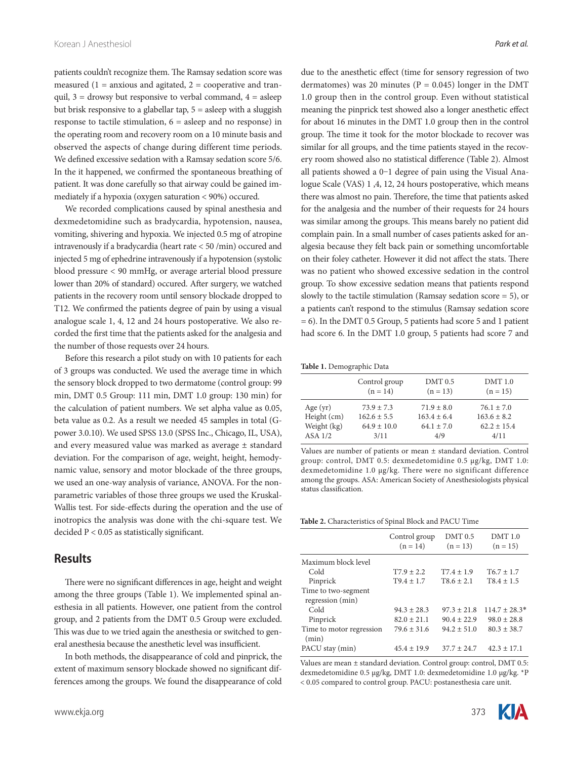patients couldn't recognize them. The Ramsay sedation score was measured  $(1 =$  anxious and agitated,  $2 =$  cooperative and tranquil,  $3 =$  drowsy but responsive to verbal command,  $4 =$  asleep but brisk responsive to a glabellar tap, 5 = asleep with a sluggish response to tactile stimulation,  $6 =$  asleep and no response) in the operating room and recovery room on a 10 minute basis and observed the aspects of change during different time periods. We defined excessive sedation with a Ramsay sedation score 5/6. In the it happened, we confirmed the spontaneous breathing of patient. It was done carefully so that airway could be gained immediately if a hypoxia (oxygen saturation < 90%) occured.

We recorded complications caused by spinal anesthesia and dexmedetomidine such as bradycardia, hypotension, nausea, vomiting, shivering and hypoxia. We injected 0.5 mg of atropine intravenously if a bradycardia (heart rate < 50 /min) occured and injected 5 mg of ephedrine intravenously if a hypotension (systolic blood pressure < 90 mmHg, or average arterial blood pressure lower than 20% of standard) occured. After surgery, we watched patients in the recovery room until sensory blockade dropped to T12. We confirmed the patients degree of pain by using a visual analogue scale 1, 4, 12 and 24 hours postoperative. We also recorded the first time that the patients asked for the analgesia and the number of those requests over 24 hours.

Before this research a pilot study on with 10 patients for each of 3 groups was conducted. We used the average time in which the sensory block dropped to two dermatome (control group: 99 min, DMT 0.5 Group: 111 min, DMT 1.0 group: 130 min) for the calculation of patient numbers. We set alpha value as 0.05, beta value as 0.2. As a result we needed 45 samples in total (Gpower 3.0.10). We used SPSS 13.0 (SPSS Inc., Chicago, IL, USA), and every measured value was marked as average ± standard deviation. For the comparison of age, weight, height, hemodynamic value, sensory and motor blockade of the three groups, we used an one-way analysis of variance, ANOVA. For the nonparametric variables of those three groups we used the Kruskal-Wallis test. For side-effects during the operation and the use of inotropics the analysis was done with the chi-square test. We decided P < 0.05 as statistically significant.

#### **Results**

There were no significant differences in age, height and weight among the three groups (Table 1). We implemented spinal anesthesia in all patients. However, one patient from the control group, and 2 patients from the DMT 0.5 Group were excluded. This was due to we tried again the anesthesia or switched to general anesthesia because the anesthetic level was insufficient.

In both methods, the disappearance of cold and pinprick, the extent of maximum sensory blockade showed no significant differences among the groups. We found the disappearance of cold due to the anesthetic effect (time for sensory regression of two dermatomes) was 20 minutes ( $P = 0.045$ ) longer in the DMT 1.0 group then in the control group. Even without statistical meaning the pinprick test showed also a longer anesthetic effect for about 16 minutes in the DMT 1.0 group then in the control group. The time it took for the motor blockade to recover was similar for all groups, and the time patients stayed in the recovery room showed also no statistical difference (Table 2). Almost all patients showed a 0-1 degree of pain using the Visual Analogue Scale (VAS) 1 ,4, 12, 24 hours postoperative, which means there was almost no pain. Therefore, the time that patients asked for the analgesia and the number of their requests for 24 hours was similar among the groups. This means barely no patient did complain pain. In a small number of cases patients asked for analgesia because they felt back pain or something uncomfortable on their foley catheter. However it did not affect the stats. There was no patient who showed excessive sedation in the control group. To show excessive sedation means that patients respond slowly to the tactile stimulation (Ramsay sedation score = 5), or a patients can't respond to the stimulus (Ramsay sedation score = 6). In the DMT 0.5 Group, 5 patients had score 5 and 1 patient had score 6. In the DMT 1.0 group, 5 patients had score 7 and

**Table 1.** Demographic Data

|             | Control group   | $DMT$ 0.5       | <b>DMT</b> 1.0  |
|-------------|-----------------|-----------------|-----------------|
|             | $(n = 14)$      | $(n = 13)$      | $(n = 15)$      |
| Age $(yr)$  | $73.9 + 7.3$    | $71.9 \pm 8.0$  | $76.1 \pm 7.0$  |
| Height (cm) | $162.6 \pm 5.5$ | $163.4 \pm 6.4$ | $163.6 \pm 8.2$ |
| Weight (kg) | $64.9 \pm 10.0$ | $64.1 \pm 7.0$  | $62.2 \pm 15.4$ |
| $ASA$ $1/2$ | 3/11            | 4/9             | 4/11            |

Values are number of patients or mean ± standard deviation. Control group: control, DMT 0.5: dexmedetomidine 0.5 μg/kg, DMT 1.0: dexmedetomidine 1.0 μg/kg. There were no significant difference among the groups. ASA: American Society of Anesthesiologists physical status classification.

**Table 2.** Characteristics of Spinal Block and PACU Time

|                                         | Control group<br>$(n = 14)$ | <b>DMT</b> 0.5<br>$(n = 13)$ | DMT1.0<br>$(n = 15)$ |
|-----------------------------------------|-----------------------------|------------------------------|----------------------|
| Maximum block level                     |                             |                              |                      |
| Cold                                    | $T7.9 \pm 2.2$              | $T7.4 \pm 1.9$               | $T6.7 \pm 1.7$       |
| Pinprick                                | $T9.4 \pm 1.7$              | $T8.6 \pm 2.1$               | $T8.4 \pm 1.5$       |
| Time to two-segment<br>regression (min) |                             |                              |                      |
| Cold                                    | $94.3 \pm 28.3$             | $97.3 \pm 21.8$              | $114.7 \pm 28.3*$    |
| Pinprick                                | $82.0 \pm 21.1$             | $90.4 \pm 22.9$              | $98.0 \pm 28.8$      |
| Time to motor regression<br>(min)       | $79.6 \pm 31.6$             | $94.2 \pm 51.0$              | $80.3 \pm 38.7$      |
| PACU stay (min)                         | $45.4 \pm 19.9$             | $37.7 \pm 24.7$              | $42.3 \pm 17.1$      |

Values are mean ± standard deviation. Control group: control, DMT 0.5: dexmedetomidine 0.5 μg/kg, DMT 1.0: dexmedetomidine 1.0 μg/kg. \*P < 0.05 compared to control group. PACU: postanesthesia care unit.

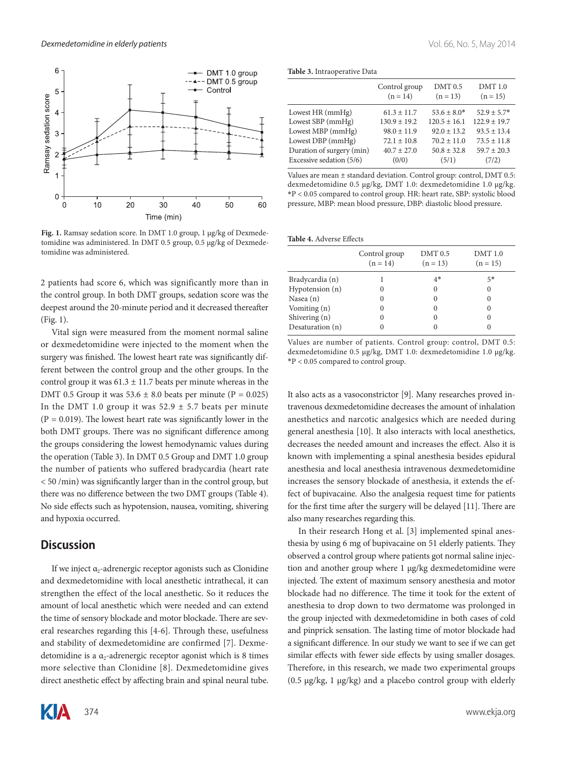

**Fig. 1.** Ramsay sedation score. In DMT 1.0 group, 1 μg/kg of Dexmedetomidine was administered. In DMT 0.5 group, 0.5 μg/kg of Dexmedetomidine was administered.

2 patients had score 6, which was significantly more than in the control group. In both DMT groups, sedation score was the deepest around the 20-minute period and it decreased thereafter (Fig. 1).

Vital sign were measured from the moment normal saline or dexmedetomidine were injected to the moment when the surgery was finished. The lowest heart rate was significantly different between the control group and the other groups. In the control group it was  $61.3 \pm 11.7$  beats per minute whereas in the DMT 0.5 Group it was  $53.6 \pm 8.0$  beats per minute (P = 0.025) In the DMT 1.0 group it was  $52.9 \pm 5.7$  beats per minute  $(P = 0.019)$ . The lowest heart rate was significantly lower in the both DMT groups. There was no significant difference among the groups considering the lowest hemodynamic values during the operation (Table 3). In DMT 0.5 Group and DMT 1.0 group the number of patients who suffered bradycardia (heart rate < 50 /min) was significantly larger than in the control group, but there was no difference between the two DMT groups (Table 4). No side effects such as hypotension, nausea, vomiting, shivering and hypoxia occurred.

#### **Discussion**

If we inject  $\alpha_2$ -adrenergic receptor agonists such as Clonidine and dexmedetomidine with local anesthetic intrathecal, it can strengthen the effect of the local anesthetic. So it reduces the amount of local anesthetic which were needed and can extend the time of sensory blockade and motor blockade. There are several researches regarding this [4-6]. Through these, usefulness and stability of dexmedetomidine are confirmed [7]. Dexmedetomidine is a  $\alpha_2$ -adrenergic receptor agonist which is 8 times more selective than Clonidine [8]. Dexmedetomidine gives direct anesthetic effect by affecting brain and spinal neural tube.



|                           | Control group<br>$(n = 14)$ | $DMT$ $0.5$<br>$(n = 13)$ | <b>DMT</b> 1.0<br>$(n = 15)$ |
|---------------------------|-----------------------------|---------------------------|------------------------------|
| Lowest HR (mmHg)          | $61.3 \pm 11.7$             | $53.6 \pm 8.0*$           | $52.9 + 5.7*$                |
| Lowest SBP (mmHg)         | $130.9 \pm 19.2$            | $120.5 \pm 16.1$          | $122.9 \pm 19.7$             |
| Lowest MBP (mmHg)         | $98.0 \pm 11.9$             | $92.0 \pm 13.2$           | $93.5 \pm 13.4$              |
| Lowest DBP (mmHg)         | $72.1 \pm 10.8$             | $70.2 \pm 11.0$           | $73.5 \pm 11.8$              |
| Duration of surgery (min) | $40.7 \pm 27.0$             | $50.8 \pm 32.8$           | $59.7 \pm 20.3$              |
| Excessive sedation (5/6)  | (0/0)                       | (5/1)                     | (7/2)                        |

Values are mean ± standard deviation. Control group: control, DMT 0.5: dexmedetomidine 0.5 μg/kg, DMT 1.0: dexmedetomidine 1.0 μg/kg. \*P < 0.05 compared to control group. HR: heart rate, SBP: systolic blood pressure, MBP: mean blood pressure, DBP: diastolic blood pressure.

#### **Table 4.** Adverse Effects

|                  | Control group<br>$(n = 14)$ | $DMT$ 0.5<br>$(n = 13)$ | <b>DMT</b> 1.0<br>$(n = 15)$ |
|------------------|-----------------------------|-------------------------|------------------------------|
| Bradycardia (n)  |                             | $4*$                    | 5*                           |
| Hypotension (n)  |                             | $\Omega$                | 0                            |
| Nasea (n)        |                             | $\Omega$                | $\theta$                     |
| Vomiting (n)     |                             | $\Omega$                | $\theta$                     |
| Shivering (n)    |                             | $\theta$                | $\theta$                     |
| Desaturation (n) |                             |                         |                              |

Values are number of patients. Control group: control, DMT 0.5: dexmedetomidine 0.5 μg/kg, DMT 1.0: dexmedetomidine 1.0 μg/kg. \*P < 0.05 compared to control group.

It also acts as a vasoconstrictor [9]. Many researches proved intravenous dexmedetomidine decreases the amount of inhalation anesthetics and narcotic analgesics which are needed during general anesthesia [10]. It also interacts with local anesthetics, decreases the needed amount and increases the effect. Also it is known with implementing a spinal anesthesia besides epidural anesthesia and local anesthesia intravenous dexmedetomidine increases the sensory blockade of anesthesia, it extends the effect of bupivacaine. Also the analgesia request time for patients for the first time after the surgery will be delayed [11]. There are also many researches regarding this.

In their research Hong et al. [3] implemented spinal anesthesia by using 6 mg of bupivacaine on 51 elderly patients. They observed a control group where patients got normal saline injection and another group where 1 μg/kg dexmedetomidine were injected. The extent of maximum sensory anesthesia and motor blockade had no difference. The time it took for the extent of anesthesia to drop down to two dermatome was prolonged in the group injected with dexmedetomidine in both cases of cold and pinprick sensation. The lasting time of motor blockade had a significant difference. In our study we want to see if we can get similar effects with fewer side effects by using smaller dosages. Therefore, in this research, we made two experimental groups (0.5 μg/kg, 1 μg/kg) and a placebo control group with elderly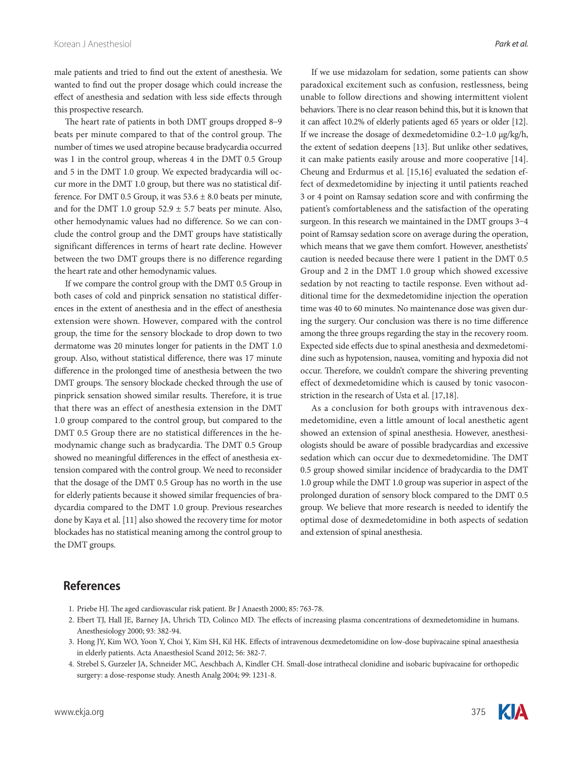male patients and tried to find out the extent of anesthesia. We wanted to find out the proper dosage which could increase the effect of anesthesia and sedation with less side effects through this prospective research.

The heart rate of patients in both DMT groups dropped 8-9 beats per minute compared to that of the control group. The number of times we used atropine because bradycardia occurred was 1 in the control group, whereas 4 in the DMT 0.5 Group and 5 in the DMT 1.0 group. We expected bradycardia will occur more in the DMT 1.0 group, but there was no statistical difference. For DMT 0.5 Group, it was  $53.6 \pm 8.0$  beats per minute, and for the DMT 1.0 group  $52.9 \pm 5.7$  beats per minute. Also, other hemodynamic values had no difference. So we can conclude the control group and the DMT groups have statistically significant differences in terms of heart rate decline. However between the two DMT groups there is no difference regarding the heart rate and other hemodynamic values.

If we compare the control group with the DMT 0.5 Group in both cases of cold and pinprick sensation no statistical differences in the extent of anesthesia and in the effect of anesthesia extension were shown. However, compared with the control group, the time for the sensory blockade to drop down to two dermatome was 20 minutes longer for patients in the DMT 1.0 group. Also, without statistical difference, there was 17 minute difference in the prolonged time of anesthesia between the two DMT groups. The sensory blockade checked through the use of pinprick sensation showed similar results. Therefore, it is true that there was an effect of anesthesia extension in the DMT 1.0 group compared to the control group, but compared to the DMT 0.5 Group there are no statistical differences in the hemodynamic change such as bradycardia. The DMT 0.5 Group showed no meaningful differences in the effect of anesthesia extension compared with the control group. We need to reconsider that the dosage of the DMT 0.5 Group has no worth in the use for elderly patients because it showed similar frequencies of bradycardia compared to the DMT 1.0 group. Previous researches done by Kaya et al. [11] also showed the recovery time for motor blockades has no statistical meaning among the control group to the DMT groups.

If we use midazolam for sedation, some patients can show paradoxical excitement such as confusion, restlessness, being unable to follow directions and showing intermittent violent behaviors. There is no clear reason behind this, but it is known that it can affect 10.2% of elderly patients aged 65 years or older [12]. If we increase the dosage of dexmedetomidine 0.2-1.0 μg/kg/h, the extent of sedation deepens [13]. But unlike other sedatives, it can make patients easily arouse and more cooperative [14]. Cheung and Erdurmus et al. [15,16] evaluated the sedation effect of dexmedetomidine by injecting it until patients reached 3 or 4 point on Ramsay sedation score and with confirming the patient's comfortableness and the satisfaction of the operating surgeon. In this research we maintained in the DMT groups 3-4 point of Ramsay sedation score on average during the operation, which means that we gave them comfort. However, anesthetists' caution is needed because there were 1 patient in the DMT 0.5 Group and 2 in the DMT 1.0 group which showed excessive sedation by not reacting to tactile response. Even without additional time for the dexmedetomidine injection the operation time was 40 to 60 minutes. No maintenance dose was given during the surgery. Our conclusion was there is no time difference among the three groups regarding the stay in the recovery room. Expected side effects due to spinal anesthesia and dexmedetomidine such as hypotension, nausea, vomiting and hypoxia did not occur. Therefore, we couldn't compare the shivering preventing effect of dexmedetomidine which is caused by tonic vasoconstriction in the research of Usta et al. [17,18].

As a conclusion for both groups with intravenous dexmedetomidine, even a little amount of local anesthetic agent showed an extension of spinal anesthesia. However, anesthesiologists should be aware of possible bradycardias and excessive sedation which can occur due to dexmedetomidine. The DMT 0.5 group showed similar incidence of bradycardia to the DMT 1.0 group while the DMT 1.0 group was superior in aspect of the prolonged duration of sensory block compared to the DMT 0.5 group. We believe that more research is needed to identify the optimal dose of dexmedetomidine in both aspects of sedation and extension of spinal anesthesia.

# **References**

- 1. Priebe HJ. The aged cardiovascular risk patient. Br J Anaesth 2000; 85: 763-78.
- 2. Ebert TJ, Hall JE, Barney JA, Uhrich TD, Colinco MD. The effects of increasing plasma concentrations of dexmedetomidine in humans. Anesthesiology 2000; 93: 382-94.
- 3. Hong JY, Kim WO, Yoon Y, Choi Y, Kim SH, Kil HK. Effects of intravenous dexmedetomidine on low-dose bupivacaine spinal anaesthesia in elderly patients. Acta Anaesthesiol Scand 2012; 56: 382-7.
- 4. Strebel S, Gurzeler JA, Schneider MC, Aeschbach A, Kindler CH. Small-dose intrathecal clonidine and isobaric bupivacaine for orthopedic surgery: a dose-response study. Anesth Analg 2004; 99: 1231-8.